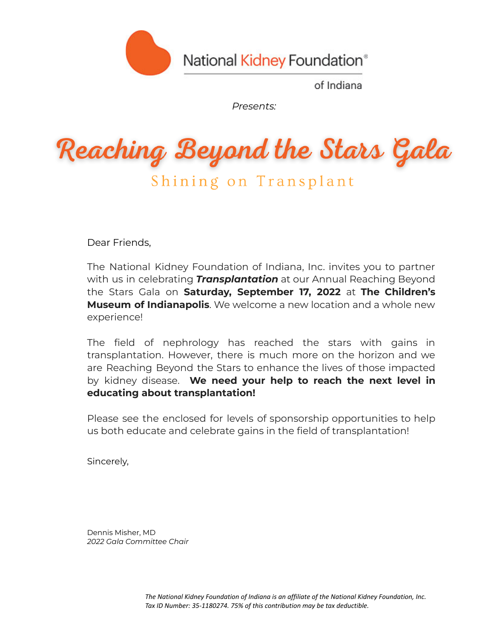

National Kidney Foundation®

of Indiana

*Presents:*

Reaching Beyond the Stars Gala

Shining on Transplant

Dear Friends,

The National Kidney Foundation of Indiana, Inc. invites you to partner with us in celebrating *Transplantation* at our Annual Reaching Beyond the Stars Gala on **Saturday, September 17, 2022** at **The Children's Museum of Indianapolis**. We welcome a new location and a whole new experience!

The field of nephrology has reached the stars with gains in transplantation. However, there is much more on the horizon and we are Reaching Beyond the Stars to enhance the lives of those impacted by kidney disease. **We need your help to reach the next level in educating about transplantation!**

Please see the enclosed for levels of sponsorship opportunities to help us both educate and celebrate gains in the field of transplantation!

Sincerely,

Dennis Misher, MD *2022 Gala Committee Chair*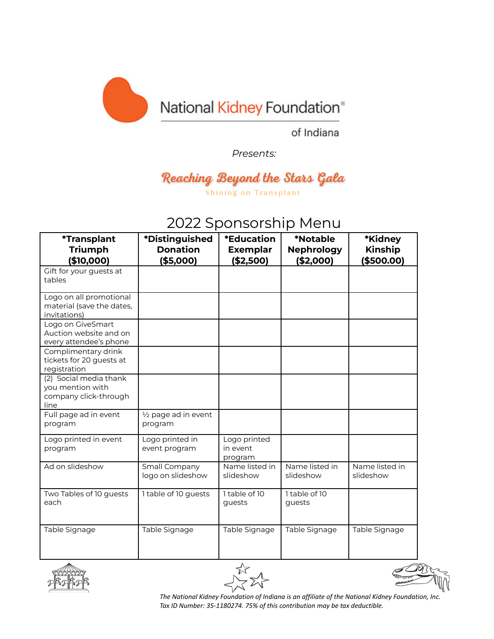

of Indiana

*Presents:*

## Reaching Beyond the Stars Gala Shining on Transplant

## 2022 Sponsorship Menu

| <i><b>*Transplant</b></i><br><b>Triumph</b><br>(\$10,000)                   | <i><b>*Distinguished</b></i><br><b>Donation</b><br>(\$5,000) | *Education<br><b>Exemplar</b><br>( \$2,500) | *Notable<br><b>Nephrology</b><br>( \$2,000] | *Kidney<br><b>Kinship</b><br>( \$500.00] |
|-----------------------------------------------------------------------------|--------------------------------------------------------------|---------------------------------------------|---------------------------------------------|------------------------------------------|
| Gift for your guests at<br>tables                                           |                                                              |                                             |                                             |                                          |
| Logo on all promotional<br>material (save the dates,<br>invitations)        |                                                              |                                             |                                             |                                          |
| Logo on GiveSmart<br>Auction website and on<br>every attendee's phone       |                                                              |                                             |                                             |                                          |
| Complimentary drink<br>tickets for 20 quests at<br>registration             |                                                              |                                             |                                             |                                          |
| (2) Social media thank<br>you mention with<br>company click-through<br>line |                                                              |                                             |                                             |                                          |
| Full page ad in event<br>program                                            | 1/2 page ad in event<br>program                              |                                             |                                             |                                          |
| Logo printed in event<br>program                                            | Logo printed in<br>event program                             | Logo printed<br>in event<br>program         |                                             |                                          |
| Ad on slideshow                                                             | Small Company<br>logo on slideshow                           | Name listed in<br>slideshow                 | Name listed in<br>slideshow                 | Name listed in<br>slideshow              |
| Two Tables of 10 guests<br>each                                             | 1 table of 10 guests                                         | 1 table of 10<br>guests                     | 1 table of 10<br>guests                     |                                          |
| Table Signage                                                               | Table Signage                                                | Table Signage                               | Table Signage                               | Table Signage                            |







*The National Kidney Foundation of Indiana is an affiliate of the National Kidney Foundation, Inc. Tax ID Number: 35-1180274. 75% of this contribution may be tax deductible.*